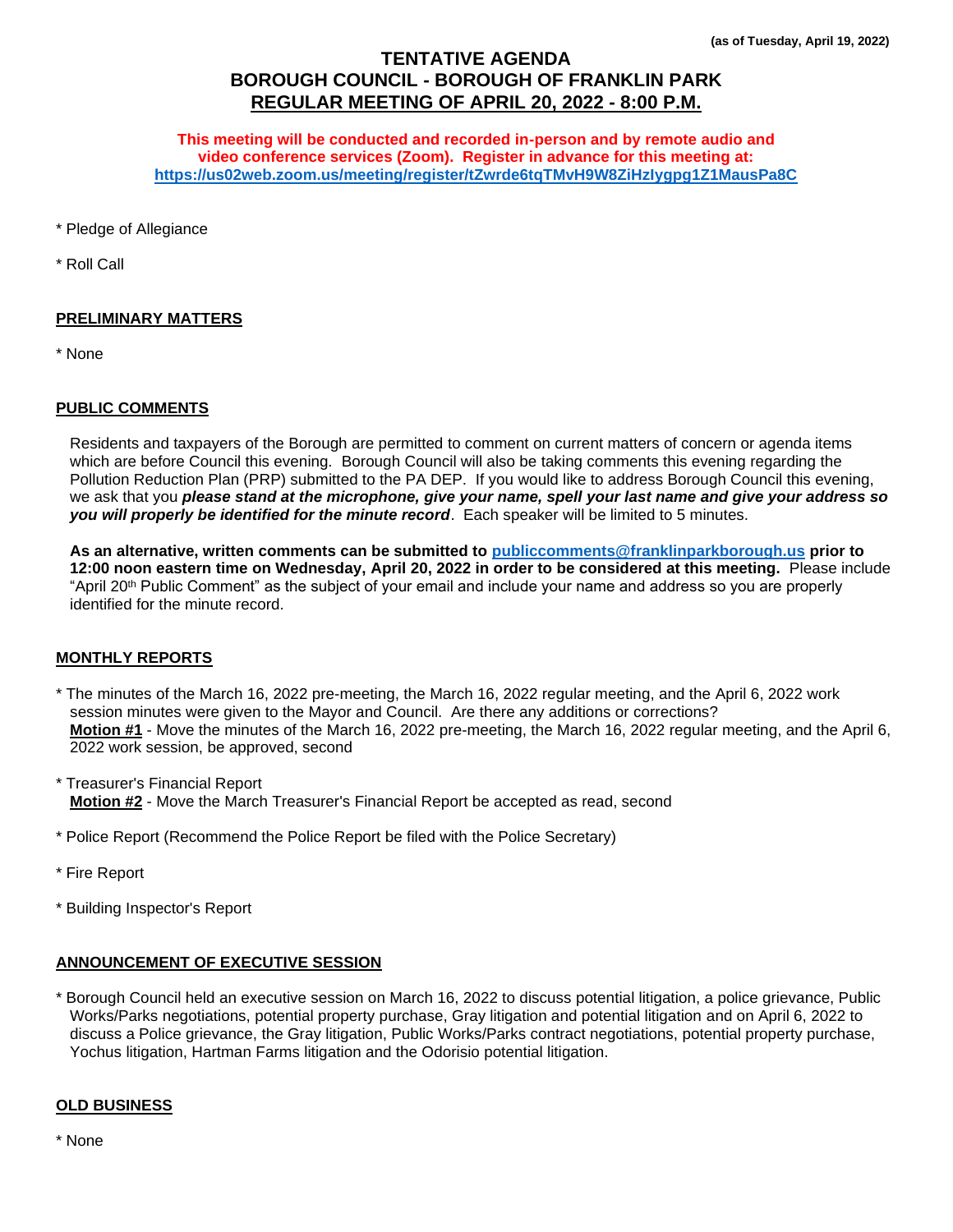# **TENTATIVE AGENDA BOROUGH COUNCIL - BOROUGH OF FRANKLIN PARK REGULAR MEETING OF APRIL 20, 2022 - 8:00 P.M.**

**This meeting will be conducted and recorded in-person and by remote audio and video conference services (Zoom). Register in advance for this meeting at: <https://us02web.zoom.us/meeting/register/tZwrde6tqTMvH9W8ZiHzIygpg1Z1MausPa8C>**

\* Pledge of Allegiance

\* Roll Call

### **PRELIMINARY MATTERS**

\* None

#### **PUBLIC COMMENTS**

Residents and taxpayers of the Borough are permitted to comment on current matters of concern or agenda items which are before Council this evening. Borough Council will also be taking comments this evening regarding the Pollution Reduction Plan (PRP) submitted to the PA DEP. If you would like to address Borough Council this evening, we ask that you *please stand at the microphone, give your name, spell your last name and give your address so you will properly be identified for the minute record*. Each speaker will be limited to 5 minutes.

**As an alternative, written comments can be submitted to [publiccomments@franklinparkborough.us](mailto:publiccomments@franklinparkborough.us) prior to 12:00 noon eastern time on Wednesday, April 20, 2022 in order to be considered at this meeting.** Please include "April 20th Public Comment" as the subject of your email and include your name and address so you are properly identified for the minute record.

## **MONTHLY REPORTS**

\* The minutes of the March 16, 2022 pre-meeting, the March 16, 2022 regular meeting, and the April 6, 2022 work session minutes were given to the Mayor and Council. Are there any additions or corrections? **Motion #1** - Move the minutes of the March 16, 2022 pre-meeting, the March 16, 2022 regular meeting, and the April 6, 2022 work session, be approved, second

\* Treasurer's Financial Report **Motion #2** - Move the March Treasurer's Financial Report be accepted as read, second

- \* Police Report (Recommend the Police Report be filed with the Police Secretary)
- \* Fire Report
- \* Building Inspector's Report

### **ANNOUNCEMENT OF EXECUTIVE SESSION**

\* Borough Council held an executive session on March 16, 2022 to discuss potential litigation, a police grievance, Public Works/Parks negotiations, potential property purchase, Gray litigation and potential litigation and on April 6, 2022 to discuss a Police grievance, the Gray litigation, Public Works/Parks contract negotiations, potential property purchase, Yochus litigation, Hartman Farms litigation and the Odorisio potential litigation.

#### **OLD BUSINESS**

\* None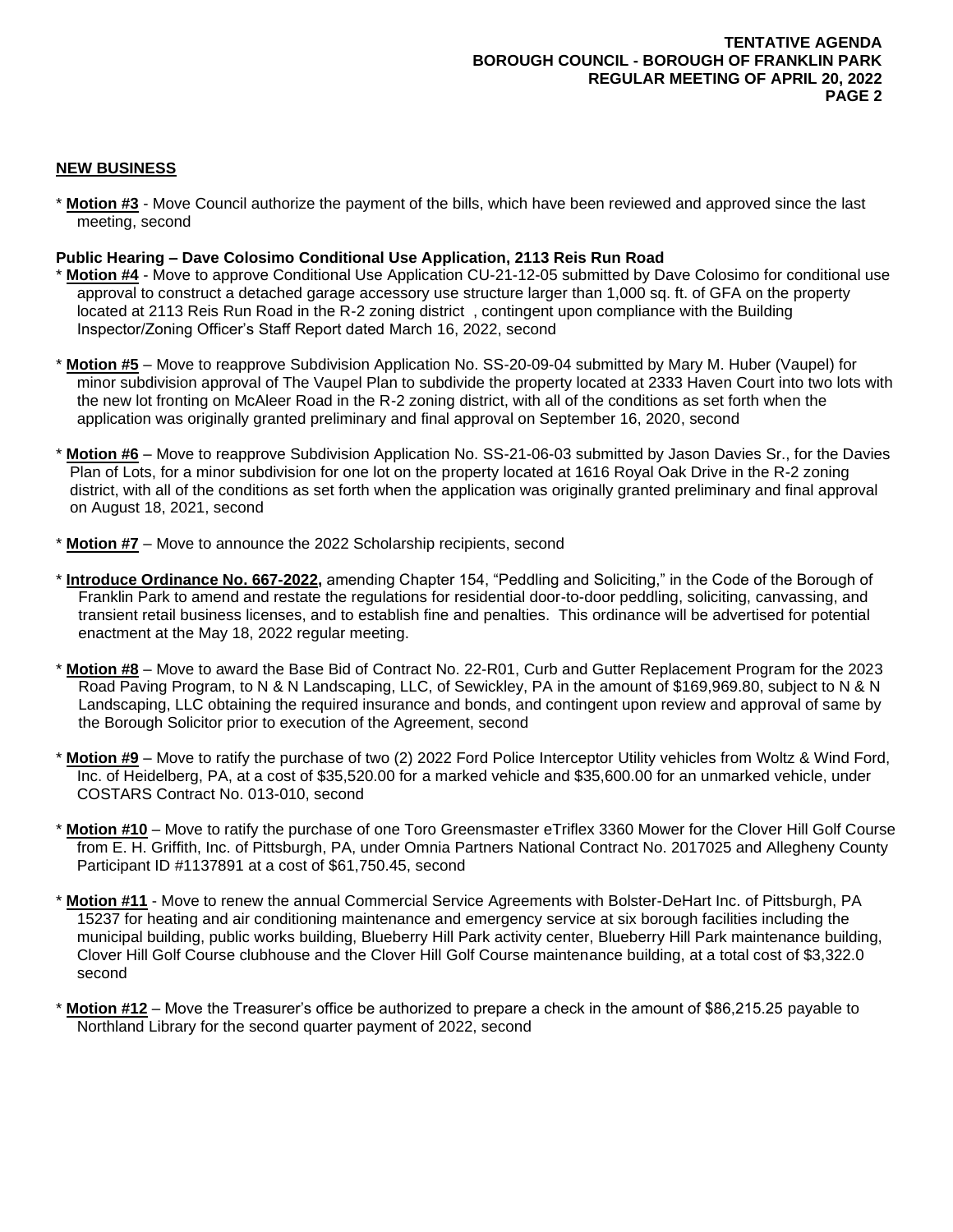## **NEW BUSINESS**

\* **Motion #3** - Move Council authorize the payment of the bills, which have been reviewed and approved since the last meeting, second

### **Public Hearing – Dave Colosimo Conditional Use Application, 2113 Reis Run Road**

- \* **Motion #4** Move to approve Conditional Use Application CU-21-12-05 submitted by Dave Colosimo for conditional use approval to construct a detached garage accessory use structure larger than 1,000 sq. ft. of GFA on the property located at 2113 Reis Run Road in the R-2 zoning district , contingent upon compliance with the Building Inspector/Zoning Officer's Staff Report dated March 16, 2022, second
- \* **Motion #5** Move to reapprove Subdivision Application No. SS-20-09-04 submitted by Mary M. Huber (Vaupel) for minor subdivision approval of The Vaupel Plan to subdivide the property located at 2333 Haven Court into two lots with the new lot fronting on McAleer Road in the R-2 zoning district, with all of the conditions as set forth when the application was originally granted preliminary and final approval on September 16, 2020, second
- \* **Motion #6** Move to reapprove Subdivision Application No. SS-21-06-03 submitted by Jason Davies Sr., for the Davies Plan of Lots, for a minor subdivision for one lot on the property located at 1616 Royal Oak Drive in the R-2 zoning district, with all of the conditions as set forth when the application was originally granted preliminary and final approval on August 18, 2021, second
- \* **Motion #7** Move to announce the 2022 Scholarship recipients, second
- \* **Introduce Ordinance No. 667-2022,** amending Chapter 154, "Peddling and Soliciting," in the Code of the Borough of Franklin Park to amend and restate the regulations for residential door-to-door peddling, soliciting, canvassing, and transient retail business licenses, and to establish fine and penalties. This ordinance will be advertised for potential enactment at the May 18, 2022 regular meeting.
- \* **Motion #8** Move to award the Base Bid of Contract No. 22-R01, Curb and Gutter Replacement Program for the 2023 Road Paving Program, to N & N Landscaping, LLC, of Sewickley, PA in the amount of \$169,969.80, subject to N & N Landscaping, LLC obtaining the required insurance and bonds, and contingent upon review and approval of same by the Borough Solicitor prior to execution of the Agreement, second
- \* **Motion #9** Move to ratify the purchase of two (2) 2022 Ford Police Interceptor Utility vehicles from Woltz & Wind Ford, Inc. of Heidelberg, PA, at a cost of \$35,520.00 for a marked vehicle and \$35,600.00 for an unmarked vehicle, under COSTARS Contract No. 013-010, second
- **Motion #10** Move to ratify the purchase of one Toro Greensmaster eTriflex 3360 Mower for the Clover Hill Golf Course from E. H. Griffith, Inc. of Pittsburgh, PA, under Omnia Partners National Contract No. 2017025 and Allegheny County Participant ID #1137891 at a cost of \$61,750.45, second
- **Motion #11** Move to renew the annual Commercial Service Agreements with Bolster-DeHart Inc. of Pittsburgh, PA 15237 for heating and air conditioning maintenance and emergency service at six borough facilities including the municipal building, public works building, Blueberry Hill Park activity center, Blueberry Hill Park maintenance building, Clover Hill Golf Course clubhouse and the Clover Hill Golf Course maintenance building, at a total cost of \$3,322.0 second
- **Motion #12** Move the Treasurer's office be authorized to prepare a check in the amount of \$86,215.25 payable to Northland Library for the second quarter payment of 2022, second